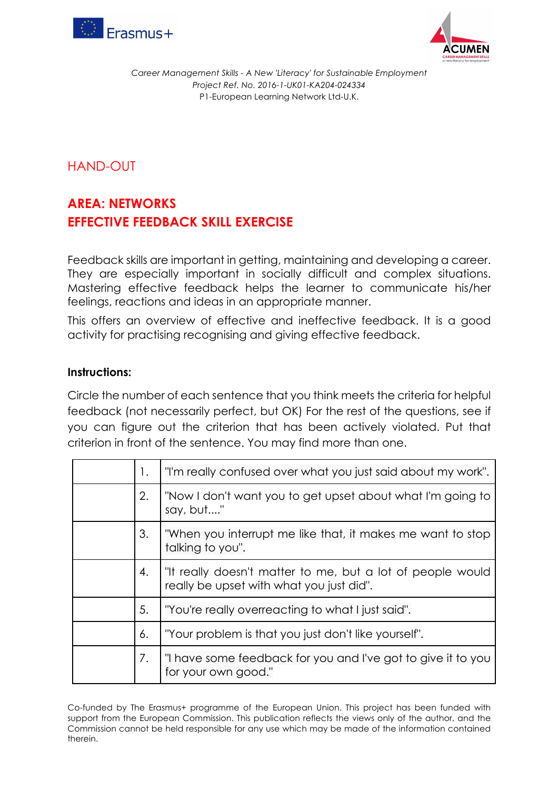



## HAND-OUT

## **AREA: NETWORKS EFFECTIVE FEEDBACK SKILL EXERCISE**

Feedback skills are important in getting, maintaining and developing a career. They are especially important in socially difficult and complex situations. Mastering effective feedback helps the learner to communicate his/her feelings, reactions and ideas in an appropriate manner.

This offers an overview of effective and ineffective feedback. It is a good activity for practising recognising and giving effective feedback.

## **Instructions:**

Circle the number of each sentence that you think meets the criteria for helpful feedback (not necessarily perfect, but OK) For the rest of the questions, see if you can figure out the criterion that has been actively violated. Put that criterion in front of the sentence. You may find more than one.

| 1. | "I'm really confused over what you just said about my work".                                           |
|----|--------------------------------------------------------------------------------------------------------|
| 2. | "Now I don't want you to get upset about what I'm going to<br>say, but"                                |
| 3. | "When you interrupt me like that, it makes me want to stop<br>talking to you".                         |
| 4. | "It really doesn't matter to me, but a lot of people would<br>really be upset with what you just did". |
| 5. | "You're really overreacting to what I just said".                                                      |
| 6. | "Your problem is that you just don't like yourself".                                                   |
| 7. | "I have some feedback for you and I've got to give it to you<br>for your own good."                    |

Co-funded by The Erasmus+ programme of the European Union. This project has been funded with support from the European Commission. This publication reflects the views only of the author, and the Commission cannot be held responsible for any use which may be made of the information contained therein.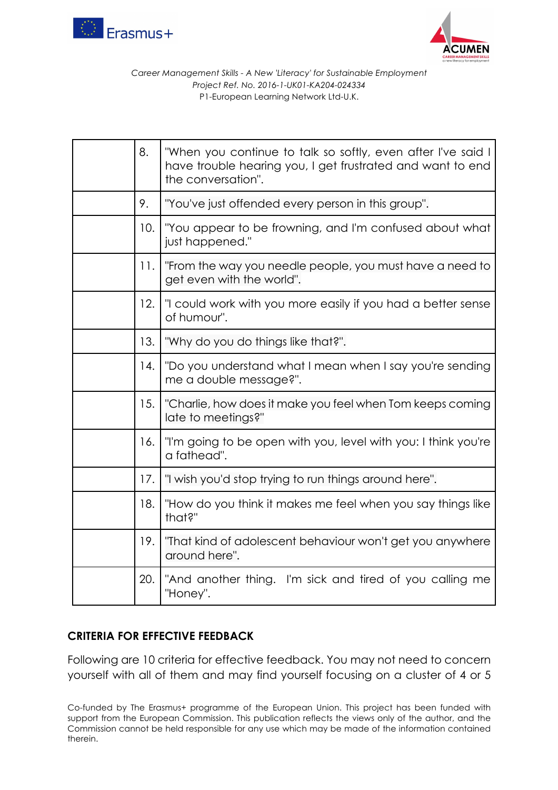



| 8.  | "When you continue to talk so softly, even after I've said I<br>have trouble hearing you, I get frustrated and want to end<br>the conversation". |
|-----|--------------------------------------------------------------------------------------------------------------------------------------------------|
| 9.  | "You've just offended every person in this group".                                                                                               |
| 10. | "You appear to be frowning, and I'm confused about what<br>just happened."                                                                       |
| 11. | "From the way you needle people, you must have a need to<br>get even with the world".                                                            |
| 12. | "I could work with you more easily if you had a better sense<br>of humour".                                                                      |
| 13. | "Why do you do things like that?".                                                                                                               |
| 14. | "Do you understand what I mean when I say you're sending<br>me a double message?".                                                               |
| 15. | "Charlie, how does it make you feel when Tom keeps coming<br>late to meetings?"                                                                  |
| 16. | "I'm going to be open with you, level with you: I think you're<br>a fathead".                                                                    |
| 17. | "I wish you'd stop trying to run things around here".                                                                                            |
| 18. | "How do you think it makes me feel when you say things like<br>that?"                                                                            |
| 19. | "That kind of adolescent behaviour won't get you anywhere<br>around here".                                                                       |
| 20. | "And another thing. I'm sick and tired of you calling me<br>"Honey".                                                                             |

## **CRITERIA FOR EFFECTIVE FEEDBACK**

Following are 10 criteria for effective feedback. You may not need to concern yourself with all of them and may find yourself focusing on a cluster of 4 or 5

Co-funded by The Erasmus+ programme of the European Union. This project has been funded with support from the European Commission. This publication reflects the views only of the author, and the Commission cannot be held responsible for any use which may be made of the information contained therein.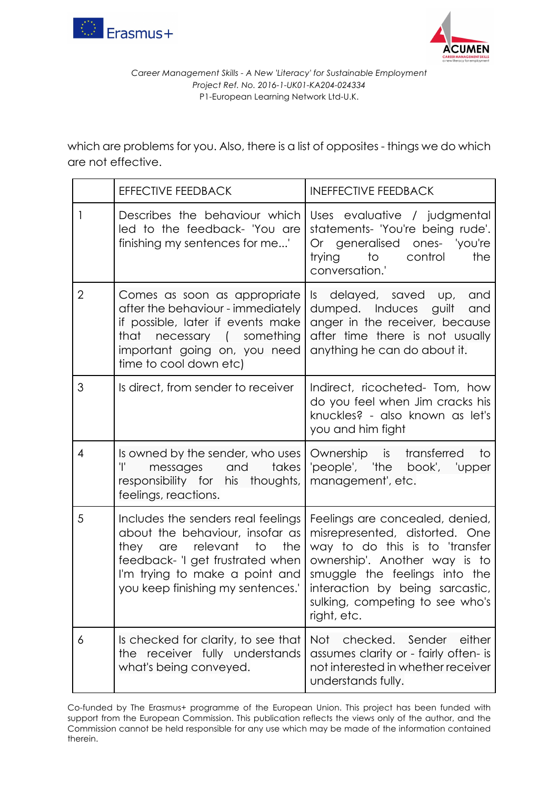



which are problems for you. Also, there is a list of opposites - things we do which are not effective.

|                | <b>EFFECTIVE FEEDBACK</b>                                                                                                                                                                                       | <b>INEFFECTIVE FEEDBACK</b>                                                                                                                                                                                                                                |  |
|----------------|-----------------------------------------------------------------------------------------------------------------------------------------------------------------------------------------------------------------|------------------------------------------------------------------------------------------------------------------------------------------------------------------------------------------------------------------------------------------------------------|--|
| 1              | Describes the behaviour which<br>led to the feedback- 'You are<br>finishing my sentences for me'                                                                                                                | Uses evaluative / judgmental<br>statements- 'You're being rude'.<br>Or generalised ones- 'you're<br>trying to control<br>the<br>conversation.'                                                                                                             |  |
| $\overline{2}$ | Comes as soon as appropriate<br>after the behaviour - immediately<br>if possible, later if events make<br>that necessary (something<br>important going on, you need<br>time to cool down etc)                   | Is delayed, saved up,<br>and<br>dumped. Induces guilt<br>and<br>anger in the receiver, because<br>after time there is not usually<br>anything he can do about it.                                                                                          |  |
| 3              | Is direct, from sender to receiver                                                                                                                                                                              | Indirect, ricocheted- Tom, how<br>do you feel when Jim cracks his<br>knuckles? - also known as let's<br>you and him fight                                                                                                                                  |  |
| 4              | Is owned by the sender, who uses<br>Ŧ<br>messages and takes<br>responsibility for his thoughts,<br>feelings, reactions.                                                                                         | Ownership is transferred<br>to<br>'people', 'the book', 'upper<br>management', etc.                                                                                                                                                                        |  |
| 5              | Includes the senders real feelings<br>about the behaviour, insofar as<br>they are relevant to<br>the<br>feedback- 'I get frustrated when<br>I'm trying to make a point and<br>you keep finishing my sentences.' | Feelings are concealed, denied,<br>misrepresented, distorted. One<br>way to do this is to 'transfer<br>ownership'. Another way is to<br>smuggle the feelings into the<br>interaction by being sarcastic,<br>sulking, competing to see who's<br>right, etc. |  |
| 6              | Is checked for clarity, to see that<br>the receiver fully understands<br>what's being conveyed.                                                                                                                 | Not<br>Sender<br>either<br>checked.<br>assumes clarity or - fairly often- is<br>not interested in whether receiver<br>understands fully.                                                                                                                   |  |

Co-funded by The Erasmus+ programme of the European Union. This project has been funded with support from the European Commission. This publication reflects the views only of the author, and the Commission cannot be held responsible for any use which may be made of the information contained therein.